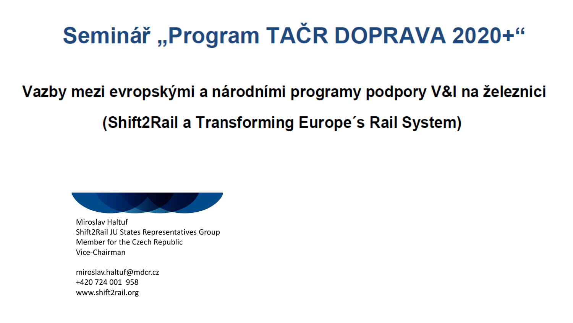# Seminář, Program TAČR DOPRAVA 2020+"

Vazby mezi evropskými a národními programy podpory V&I na železnici (Shift2Rail a Transforming Europe's Rail System)



Miroslav Haltuf Shift2Rail JU States Representatives Group Member for the Czech Republic Vice-Chairman

miroslav.haltuf@mdcr.cz +420 724 001 958 www.shift2rail.org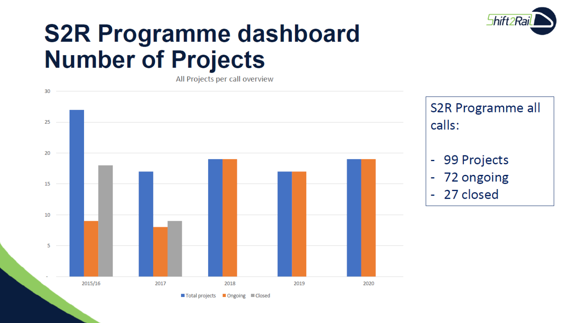

## **S2R Programme dashboard Number of Projects**

All Projects per call overview

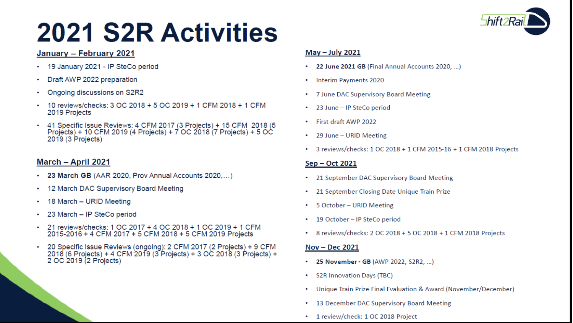# **2021 S2R Activities**

## January - February 2021

- 19 January 2021 IP SteCo period
- Draft AWP 2022 preparation
- Ongoing discussions on S2R2
- 10 reviews/checks: 3 OC 2018 + 5 OC 2019 + 1 CFM 2018 + 1 CFM 2019 Projects
- 41 Specific Issue Reviews: 4 CFM 2017 (3 Projects) + 15 CFM 2018 (5<br>Projects) + 10 CFM 2019 (4 Projects) + 7 OC 2018 (7 Projects) + 5 OC 2019 (3 Projects)

### March - April 2021

- 23 March GB (AAR 2020, Prov Annual Accounts 2020,...)
- 12 March DAC Supervisory Board Meeting
- 18 March URID Meeting
- 23 March IP SteCo period
- 21 reviews/checks: 1 OC 2017 + 4 OC 2018 + 1 OC 2019 + 1 CFM 2015-2016 + 4 CFM 2017 + 5 CFM 2018 + 5 CFM 2019 Projects
- 20 Specific Issue Reviews (ongoing): 2 CFM 2017 (2 Projects) + 9 CFM 2018 (6 Projects) + 4 CFM 2019 (3 Projects) + 3 OC 2018 (3 Projects) + 2 OC 2019 (2 Projects)

### May - July 2021

- 22 June 2021 GB (Final Annual Accounts 2020, ...)
- **Interim Payments 2020** ٠.
- 7 June DAC Supervisory Board Meeting
- 23 June IP SteCo period
- First draft AWP 2022
- 29 June URID Meeting
- 3 reviews/checks: 1 OC 2018 + 1 CFM 2015-16 + 1 CFM 2018 Projects

### Sep - Oct 2021

- 21 September DAC Supervisory Board Meeting
- 21 September Closing Date Unique Train Prize
- 5 October URID Meeting
- 19 October IP SteCo period
- 8 reviews/checks: 2 OC 2018 + 5 OC 2018 + 1 CFM 2018 Projects

### Nov - Dec 2021

- 25 November GB (AWP 2022, S2R2, ...)
- **S2R Innovation Days (TBC)** ٠
- Unique Train Prize Final Evaluation & Award (November/December)
- 13 December DAC Supervisory Board Meeting
- 1 review/check: 1 OC 2018 Project

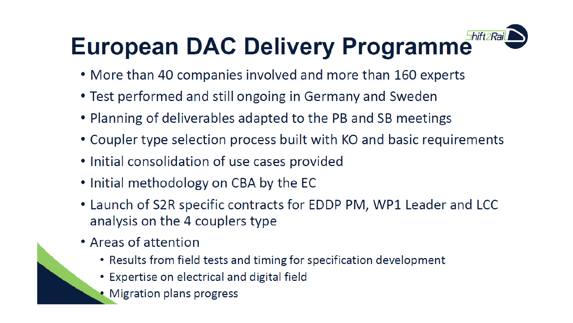## 5hift2Rail **European DAC Delivery Programme**

- More than 40 companies involved and more than 160 experts
- Test performed and still ongoing in Germany and Sweden
- Planning of deliverables adapted to the PB and SB meetings
- Coupler type selection process built with KO and basic requirements
- Initial consolidation of use cases provided
- Initial methodology on CBA by the EC
- Launch of S2R specific contracts for EDDP PM, WP1 Leader and LCC analysis on the 4 couplers type
- Areas of attention
	- Results from field tests and timing for specification development
	- Expertise on electrical and digital field
	- Migration plans progress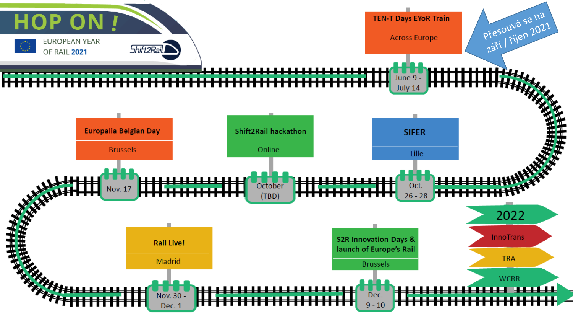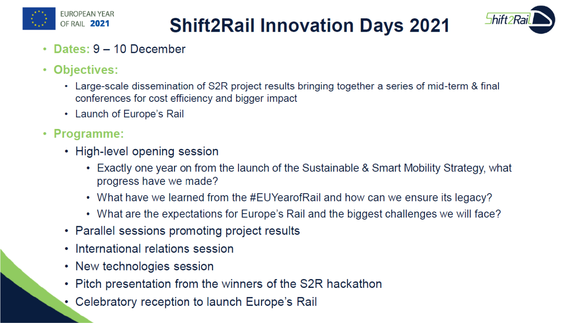

## **Shift2Rail Innovation Days 2021**



- Dates: 9 10 December  $\bullet$
- Objectives:
	- Large-scale dissemination of S2R project results bringing together a series of mid-term & final conferences for cost efficiency and bigger impact
	- Launch of Europe's Rail
- $\cdot$  Programme:
	- High-level opening session
		- Exactly one year on from the launch of the Sustainable & Smart Mobility Strategy, what progress have we made?
		- What have we learned from the #EUYearofRail and how can we ensure its legacy?
		- What are the expectations for Europe's Rail and the biggest challenges we will face?
	- Parallel sessions promoting project results
	- International relations session
	- New technologies session
	- Pitch presentation from the winners of the S2R hackathon
	- Celebratory reception to launch Europe's Rail ۰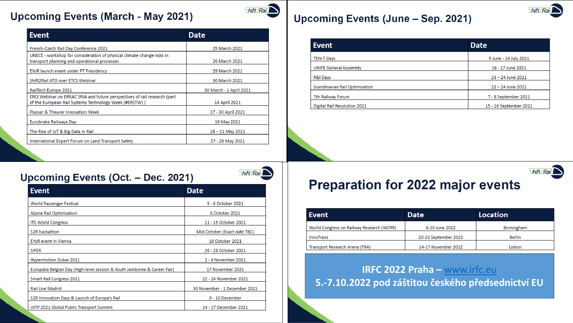### **Upcoming Events (March - May 2021)**

| <b>Event</b>                                                                                                                        | <b>Date</b>             |
|-------------------------------------------------------------------------------------------------------------------------------------|-------------------------|
| French-Czech Rail Day Conference 2021                                                                                               | 25 March 2021           |
| UNECE - workshop for consideration of physical climate change risks in<br>transport planning and operational processes              | 26 March 2021           |
| EYoR launch event under PT Presidency                                                                                               | 29 March 2021           |
| Shift2Rail ATO over ETCS Webinar                                                                                                    | 30 March 2021           |
| RailTech Europe 2021                                                                                                                | 30 March - 1 April 2021 |
| ERCI Webinar on ERRAC SRIA and future perspectives of rail research (part<br>of the European Rail Systems Technology Week (#ERSTW)) | 14 April 2021           |
| Plasser & Theurer Innovation Week                                                                                                   | 27 - 30 April 2021      |
| Eurobrake Railways Day                                                                                                              | 19 May 2021             |
| The Rise of IoT & Big Data in Rail                                                                                                  | $18 - 21$ May 2021      |
| International Expert Forum on Land Transport Safety                                                                                 | 27 - 28 May 2021        |

### **Upcoming Events (June - Sep. 2021)**

**Shift 2Rail** 

 $5$ hift $2$ Rai $\sum$ 

| <b>Event</b>                   | <b>Date</b>            |
|--------------------------------|------------------------|
| <b>TEN-T Days</b>              | 9 June - 14 July 2021  |
| <b>UNIFE General Assembly</b>  | 16 - 17 June 2021      |
| R&I Days                       | $23 - 24$ June 2021    |
| Scandinavian Rail Optimisation | 22 - 24 June 2021      |
| 7th Railway Forum              | 7 - 8 September 2021   |
| Digital Rail Revolution 2021   | 15 - 16 September 2021 |

### Upcoming Events (Oct. - Dec. 2021)

| <b>Event</b>                                                              | <b>Date</b>                   |
|---------------------------------------------------------------------------|-------------------------------|
| <b>World Passenger Festival</b>                                           | 5 - 6 October 2021            |
| Alpine Rail Optimisation                                                  | 6 October 2021                |
| <b>ITS World Congress</b>                                                 | 11 - 15 October 2021          |
| S <sub>2R</sub> hackathon                                                 | Mid-October (Exact date TBC)  |
| <b>EYoR</b> event in Vienna                                               | 18 October 2021               |
| <b>SIFER</b>                                                              | 26 - 28 October 2021          |
| Hypermotion Dubai 2021                                                    | 2 - 4 November 2021           |
| Europalia Belgian Day (High-level session & Youth Jamboree & Career Fair) | 17 November 2021              |
| <b>Smart Rail Congress 2021</b>                                           | 22 - 24 November 2021         |
| <b>Rail Live Madrid</b>                                                   | 30 November - 1 December 2021 |
| S2R Innovation Days & Launch of Europe's Rail                             | 9 - 10 December               |
| UITP 2021 Global Public Transport Summit                                  | 14 - 17 December 2021         |

## **Preparation for 2022 major events**

| Event                                     | <b>Date</b>          | <b>Location</b>   |
|-------------------------------------------|----------------------|-------------------|
| World Congress on Railway Research (WCRR) | 6-10 June 2022       | <b>Birmingham</b> |
| <b>InnoTrans</b>                          | 20-23 September 2022 | <b>Berlin</b>     |
| Transport Research Arena (TRA)            | 14-17 November 2022  | Lisbon            |

### IRFC 2022 Praha - www.irfc.eu 5.-7.10.2022 pod záštitou českého předsednictví EU



Shift 2 Rail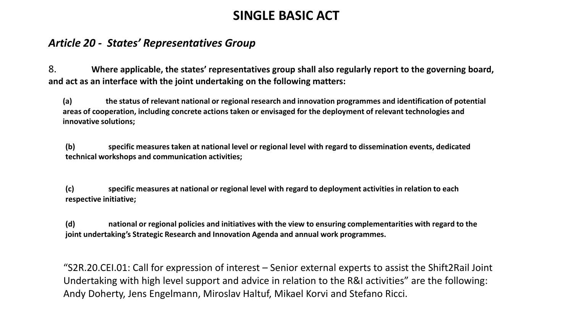## **SINGLE BASIC ACT**

### *Article 20 - States' Representatives Group*

8. **Where applicable, the states' representatives group shall also regularly report to the governing board, and act as an interface with the joint undertaking on the following matters:**

**(a) the status of relevant national or regional research and innovation programmes and identification of potential areas of cooperation, including concrete actions taken or envisaged for the deployment of relevant technologies and innovative solutions;**

**(b) specific measures taken at national level or regional level with regard to dissemination events, dedicated technical workshops and communication activities;**

**(c) specific measures at national or regional level with regard to deployment activities in relation to each respective initiative;** 

**(d) national or regional policies and initiatives with the view to ensuring complementarities with regard to the joint undertaking's Strategic Research and Innovation Agenda and annual work programmes.**

"S2R.20.CEI.01: Call for expression of interest – Senior external experts to assist the Shift2Rail Joint Undertaking with high level support and advice in relation to the R&I activities" are the following: Andy Doherty, Jens Engelmann, Miroslav Haltuf, Mikael Korvi and Stefano Ricci.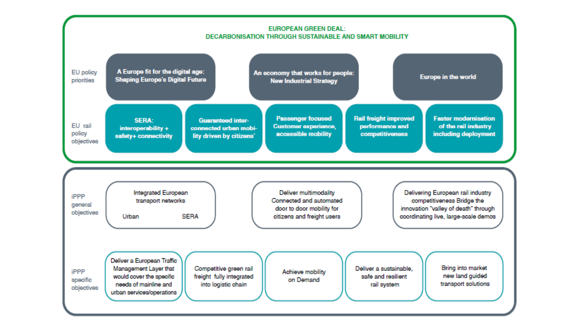#### **EUROPEAN GREEN DEAL: DECARBONISATION THROUGH SUSTAINABLE AND SMART MOBILITY**